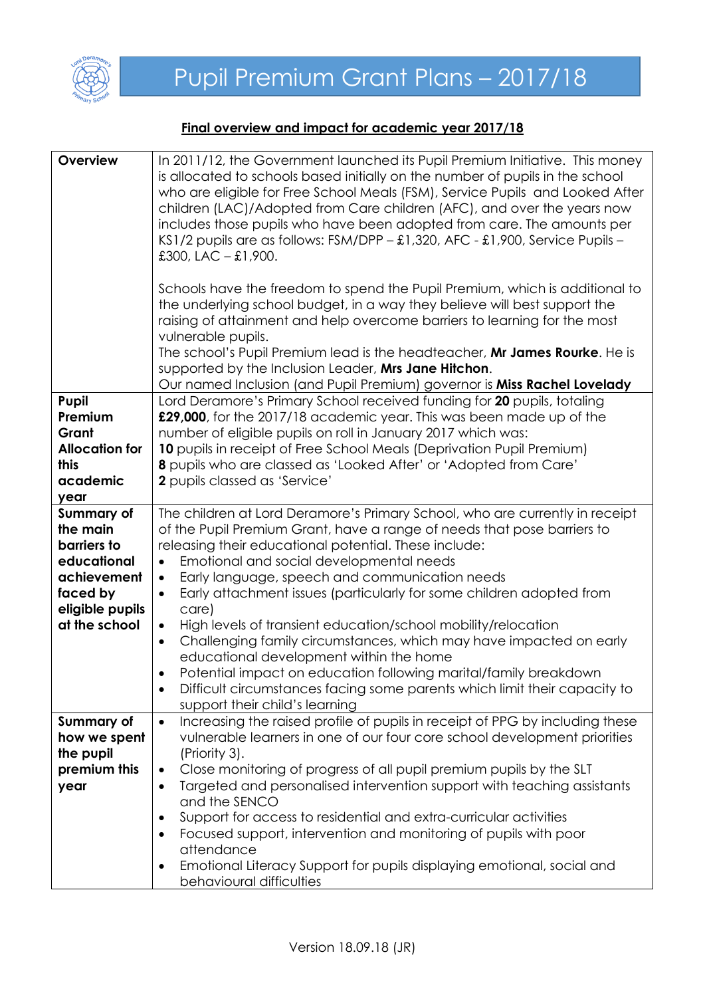

## **Final overview and impact for academic year 2017/18**

| Overview                                                                   | In 2011/12, the Government launched its Pupil Premium Initiative. This money<br>is allocated to schools based initially on the number of pupils in the school<br>who are eligible for Free School Meals (FSM), Service Pupils and Looked After<br>children (LAC)/Adopted from Care children (AFC), and over the years now<br>includes those pupils who have been adopted from care. The amounts per<br>KS1/2 pupils are as follows: FSM/DPP - £1,320, AFC - £1,900, Service Pupils -<br>£300, LAC $-$ £1,900.<br>Schools have the freedom to spend the Pupil Premium, which is additional to<br>the underlying school budget, in a way they believe will best support the<br>raising of attainment and help overcome barriers to learning for the most<br>vulnerable pupils.<br>The school's Pupil Premium lead is the headteacher, Mr James Rourke. He is<br>supported by the Inclusion Leader, Mrs Jane Hitchon.<br>Our named Inclusion (and Pupil Premium) governor is Miss Rachel Lovelady |  |  |
|----------------------------------------------------------------------------|------------------------------------------------------------------------------------------------------------------------------------------------------------------------------------------------------------------------------------------------------------------------------------------------------------------------------------------------------------------------------------------------------------------------------------------------------------------------------------------------------------------------------------------------------------------------------------------------------------------------------------------------------------------------------------------------------------------------------------------------------------------------------------------------------------------------------------------------------------------------------------------------------------------------------------------------------------------------------------------------|--|--|
| Pupil                                                                      | Lord Deramore's Primary School received funding for 20 pupils, totaling                                                                                                                                                                                                                                                                                                                                                                                                                                                                                                                                                                                                                                                                                                                                                                                                                                                                                                                        |  |  |
| Premium                                                                    | £29,000, for the 2017/18 academic year. This was been made up of the                                                                                                                                                                                                                                                                                                                                                                                                                                                                                                                                                                                                                                                                                                                                                                                                                                                                                                                           |  |  |
| Grant                                                                      | number of eligible pupils on roll in January 2017 which was:                                                                                                                                                                                                                                                                                                                                                                                                                                                                                                                                                                                                                                                                                                                                                                                                                                                                                                                                   |  |  |
| <b>Allocation for</b>                                                      | 10 pupils in receipt of Free School Meals (Deprivation Pupil Premium)                                                                                                                                                                                                                                                                                                                                                                                                                                                                                                                                                                                                                                                                                                                                                                                                                                                                                                                          |  |  |
| this                                                                       | 8 pupils who are classed as 'Looked After' or 'Adopted from Care'                                                                                                                                                                                                                                                                                                                                                                                                                                                                                                                                                                                                                                                                                                                                                                                                                                                                                                                              |  |  |
| academic<br>year                                                           | 2 pupils classed as 'Service'                                                                                                                                                                                                                                                                                                                                                                                                                                                                                                                                                                                                                                                                                                                                                                                                                                                                                                                                                                  |  |  |
| <b>Summary of</b><br>the main<br>barriers to<br>educational<br>achievement | The children at Lord Deramore's Primary School, who are currently in receipt<br>of the Pupil Premium Grant, have a range of needs that pose barriers to<br>releasing their educational potential. These include:<br>Emotional and social developmental needs<br>$\bullet$<br>Early language, speech and communication needs<br>$\bullet$                                                                                                                                                                                                                                                                                                                                                                                                                                                                                                                                                                                                                                                       |  |  |
| faced by<br>eligible pupils                                                | Early attachment issues (particularly for some children adopted from<br>$\bullet$<br>care)                                                                                                                                                                                                                                                                                                                                                                                                                                                                                                                                                                                                                                                                                                                                                                                                                                                                                                     |  |  |
| at the school                                                              | High levels of transient education/school mobility/relocation<br>$\bullet$<br>Challenging family circumstances, which may have impacted on early<br>$\bullet$<br>educational development within the home                                                                                                                                                                                                                                                                                                                                                                                                                                                                                                                                                                                                                                                                                                                                                                                       |  |  |
|                                                                            | Potential impact on education following marital/family breakdown<br>$\bullet$<br>Difficult circumstances facing some parents which limit their capacity to<br>$\bullet$<br>support their child's learning                                                                                                                                                                                                                                                                                                                                                                                                                                                                                                                                                                                                                                                                                                                                                                                      |  |  |
| <b>Summary of</b><br>how we spent<br>the pupil                             | Increasing the raised profile of pupils in receipt of PPG by including these<br>$\bullet$<br>vulnerable learners in one of our four core school development priorities<br>(Priority 3).                                                                                                                                                                                                                                                                                                                                                                                                                                                                                                                                                                                                                                                                                                                                                                                                        |  |  |
| premium this<br>year                                                       | Close monitoring of progress of all pupil premium pupils by the SLT<br>٠<br>Targeted and personalised intervention support with teaching assistants<br>$\bullet$<br>and the SENCO                                                                                                                                                                                                                                                                                                                                                                                                                                                                                                                                                                                                                                                                                                                                                                                                              |  |  |
|                                                                            | Support for access to residential and extra-curricular activities<br>$\bullet$<br>Focused support, intervention and monitoring of pupils with poor<br>$\bullet$<br>attendance                                                                                                                                                                                                                                                                                                                                                                                                                                                                                                                                                                                                                                                                                                                                                                                                                  |  |  |
|                                                                            | Emotional Literacy Support for pupils displaying emotional, social and<br>$\bullet$<br>behavioural difficulties                                                                                                                                                                                                                                                                                                                                                                                                                                                                                                                                                                                                                                                                                                                                                                                                                                                                                |  |  |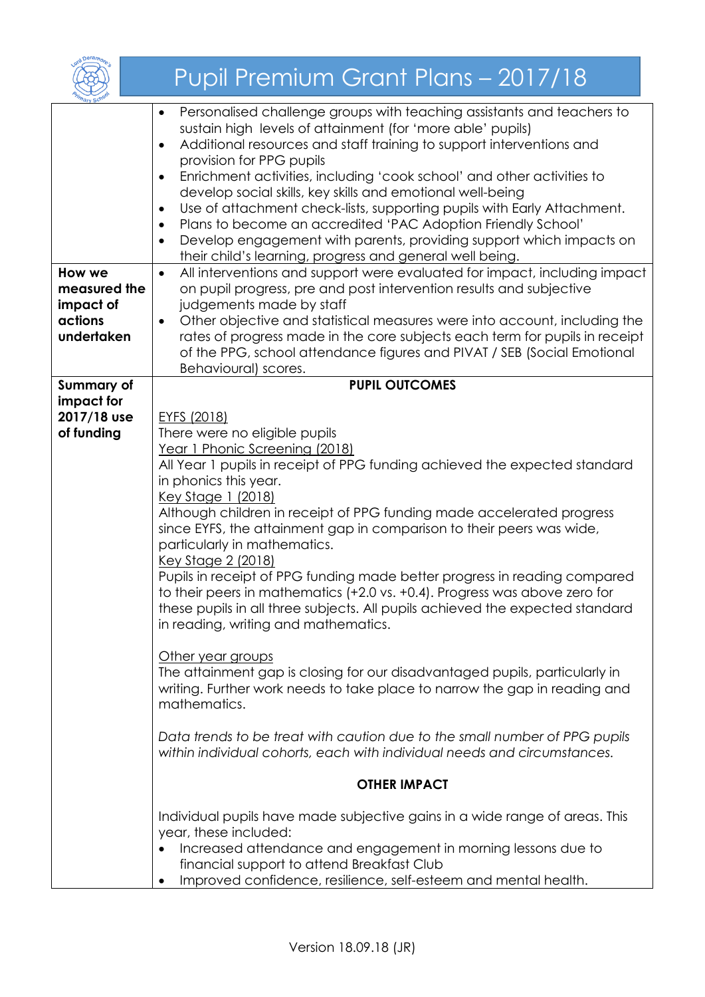|                                                              | <b>Pupil Premium Grant Plans - 2017/18</b>                                                                                                                                                                                                                                                                                                                                                                                                                                                                                                                                                                                                                                                                                                                                                                                                                                                                                                                                                                                                                                        |  |
|--------------------------------------------------------------|-----------------------------------------------------------------------------------------------------------------------------------------------------------------------------------------------------------------------------------------------------------------------------------------------------------------------------------------------------------------------------------------------------------------------------------------------------------------------------------------------------------------------------------------------------------------------------------------------------------------------------------------------------------------------------------------------------------------------------------------------------------------------------------------------------------------------------------------------------------------------------------------------------------------------------------------------------------------------------------------------------------------------------------------------------------------------------------|--|
|                                                              | Personalised challenge groups with teaching assistants and teachers to<br>$\bullet$<br>sustain high levels of attainment (for 'more able' pupils)<br>Additional resources and staff training to support interventions and<br>$\bullet$<br>provision for PPG pupils<br>Enrichment activities, including 'cook school' and other activities to<br>develop social skills, key skills and emotional well-being<br>Use of attachment check-lists, supporting pupils with Early Attachment.<br>$\bullet$<br>Plans to become an accredited 'PAC Adoption Friendly School'<br>$\bullet$<br>Develop engagement with parents, providing support which impacts on<br>$\bullet$<br>their child's learning, progress and general well being.                                                                                                                                                                                                                                                                                                                                                   |  |
| How we<br>measured the<br>impact of<br>actions<br>undertaken | All interventions and support were evaluated for impact, including impact<br>$\bullet$<br>on pupil progress, pre and post intervention results and subjective<br>judgements made by staff<br>Other objective and statistical measures were into account, including the<br>rates of progress made in the core subjects each term for pupils in receipt<br>of the PPG, school attendance figures and PIVAT / SEB (Social Emotional<br>Behavioural) scores.                                                                                                                                                                                                                                                                                                                                                                                                                                                                                                                                                                                                                          |  |
| <b>Summary of</b>                                            | <b>PUPIL OUTCOMES</b>                                                                                                                                                                                                                                                                                                                                                                                                                                                                                                                                                                                                                                                                                                                                                                                                                                                                                                                                                                                                                                                             |  |
| impact for<br>2017/18 use<br>of funding                      | EYFS (2018)<br>There were no eligible pupils<br>Year 1 Phonic Screening (2018)<br>All Year 1 pupils in receipt of PPG funding achieved the expected standard<br>in phonics this year.<br><u>Key Stage 1 (2018)</u><br>Although children in receipt of PPG funding made accelerated progress<br>since EYFS, the attainment gap in comparison to their peers was wide,<br>particularly in mathematics.<br><u>Key Stage 2 (2018)</u><br>Pupils in receipt of PPG funding made better progress in reading compared<br>to their peers in mathematics (+2.0 vs. +0.4). Progress was above zero for<br>these pupils in all three subjects. All pupils achieved the expected standard<br>in reading, writing and mathematics.<br>Other year groups<br>The attainment gap is closing for our disadvantaged pupils, particularly in<br>writing. Further work needs to take place to narrow the gap in reading and<br>mathematics.<br>Data trends to be treat with caution due to the small number of PPG pupils<br>within individual cohorts, each with individual needs and circumstances. |  |
|                                                              | <b>OTHER IMPACT</b>                                                                                                                                                                                                                                                                                                                                                                                                                                                                                                                                                                                                                                                                                                                                                                                                                                                                                                                                                                                                                                                               |  |
|                                                              | Individual pupils have made subjective gains in a wide range of areas. This<br>year, these included:<br>Increased attendance and engagement in morning lessons due to<br>financial support to attend Breakfast Club<br>Improved confidence, resilience, self-esteem and mental health.                                                                                                                                                                                                                                                                                                                                                                                                                                                                                                                                                                                                                                                                                                                                                                                            |  |